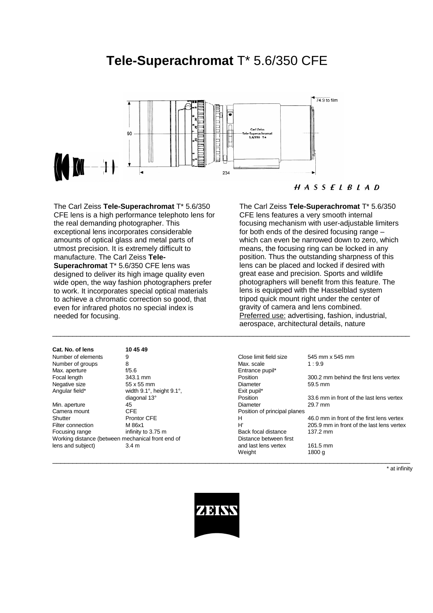# **Tele-Superachromat** T\* 5.6/350 CFE



The Carl Zeiss **Tele-Superachromat** T\* 5.6/350 CFE lens is a high performance telephoto lens for the real demanding photographer. This exceptional lens incorporates considerable amounts of optical glass and metal parts of utmost precision. It is extremely difficult to manufacture. The Carl Zeiss **Tele-Superachromat** T\* 5.6/350 CFE lens was designed to deliver its high image quality even wide open, the way fashion photographers prefer to work. It incorporates special optical materials to achieve a chromatic correction so good, that even for infrared photos no special index is needed for focusing.

# **Cat. No. of lens 10 45 49** Number of elements 9 Number of groups 8<br>Max. aperture 6/5.6 Max. aperture Negative size 55 x 55 mm Angular field\* width  $9.1^\circ$ , height  $9.1^\circ$ , height  $9.1^\circ$ , diagonal  $13^\circ$ Min. aperture 45<sup>T</sup><br>Camera mount 600 CFE

## $H A S S E L B L A D$

The Carl Zeiss **Tele-Superachromat** T\* 5.6/350 CFE lens features a very smooth internal focusing mechanism with user-adjustable limiters for both ends of the desired focusing range – which can even be narrowed down to zero, which means, the focusing ring can be locked in any position. Thus the outstanding sharpness of this lens can be placed and locked if desired with great ease and precision. Sports and wildlife photographers will benefit from this feature. The lens is equipped with the Hasselblad system tripod quick mount right under the center of gravity of camera and lens combined. Preferred use: advertising, fashion, industrial, aerospace, architectural details, nature

| Number of elements                                | 9                                        | Close limit field size       | 545 mm x 545 mm                           |
|---------------------------------------------------|------------------------------------------|------------------------------|-------------------------------------------|
| Number of groups                                  | 8                                        | Max. scale                   | 1:9.9                                     |
| Max. aperture                                     | f/5.6                                    | Entrance pupil*              |                                           |
| Focal length                                      | 343.1 mm                                 | Position                     | 300.2 mm behind the first lens vertex     |
| Negative size                                     | 55 x 55 mm                               | Diameter                     | 59.5 mm                                   |
| Angular field*                                    | width $9.1^\circ$ , height $9.1^\circ$ , | Exit pupil*                  |                                           |
|                                                   | diagonal 13°                             | Position                     | 33.6 mm in front of the last lens vertex  |
| Min. aperture                                     | 45                                       | Diameter                     | 29.7 mm                                   |
| Camera mount                                      | <b>CFE</b>                               | Position of principal planes |                                           |
| Shutter                                           | <b>Prontor CFE</b>                       | н                            | 46.0 mm in front of the first lens vertex |
| Filter connection                                 | M 86x1                                   | H'                           | 205.9 mm in front of the last lens vertex |
| Focusing range                                    | infinity to 3.75 m                       | Back focal distance          | 137.2 mm                                  |
| Working distance (between mechanical front end of |                                          | Distance between first       |                                           |
| lens and subject)                                 | 3.4 <sub>m</sub>                         | and last lens vertex         | 161.5 mm                                  |
|                                                   |                                          | Weight                       | 1800 g                                    |
|                                                   |                                          |                              |                                           |

\* at infinity



\_\_\_\_\_\_\_\_\_\_\_\_\_\_\_\_\_\_\_\_\_\_\_\_\_\_\_\_\_\_\_\_\_\_\_\_\_\_\_\_\_\_\_\_\_\_\_\_\_\_\_\_\_\_\_\_\_\_\_\_\_\_\_\_\_\_\_\_\_\_\_\_\_\_\_\_\_\_\_\_\_\_\_\_\_\_\_\_\_